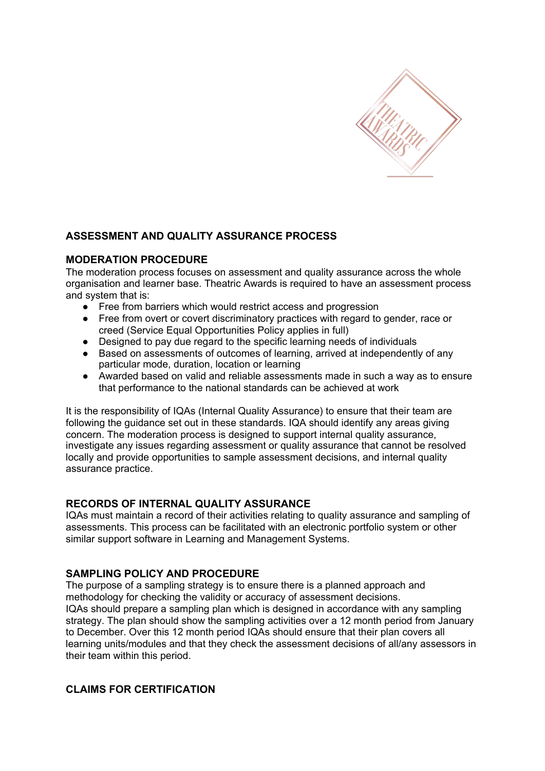

# **ASSESSMENT AND QUALITY ASSURANCE PROCESS**

## **MODERATION PROCEDURE**

The moderation process focuses on assessment and quality assurance across the whole organisation and learner base. Theatric Awards is required to have an assessment process and system that is:

- Free from barriers which would restrict access and progression
- Free from overt or covert discriminatory practices with regard to gender, race or creed (Service Equal Opportunities Policy applies in full)
- Designed to pay due regard to the specific learning needs of individuals<br>● Based on assessments of outcomes of learning. arrived at independently
- Based on assessments of outcomes of learning, arrived at independently of any particular mode, duration, location or learning
- Awarded based on valid and reliable assessments made in such a way as to ensure that performance to the national standards can be achieved at work

It is the responsibility of IQAs (Internal Quality Assurance) to ensure that their team are following the guidance set out in these standards. IQA should identify any areas giving concern. The moderation process is designed to support internal quality assurance, investigate any issues regarding assessment or quality assurance that cannot be resolved locally and provide opportunities to sample assessment decisions, and internal quality assurance practice.

#### **RECORDS OF INTERNAL QUALITY ASSURANCE**

IQAs must maintain a record of their activities relating to quality assurance and sampling of assessments. This process can be facilitated with an electronic portfolio system or other similar support software in Learning and Management Systems.

#### **SAMPLING POLICY AND PROCEDURE**

The purpose of a sampling strategy is to ensure there is a planned approach and methodology for checking the validity or accuracy of assessment decisions. IQAs should prepare a sampling plan which is designed in accordance with any sampling strategy. The plan should show the sampling activities over a 12 month period from January to December. Over this 12 month period IQAs should ensure that their plan covers all learning units/modules and that they check the assessment decisions of all/any assessors in their team within this period.

## **CLAIMS FOR CERTIFICATION**